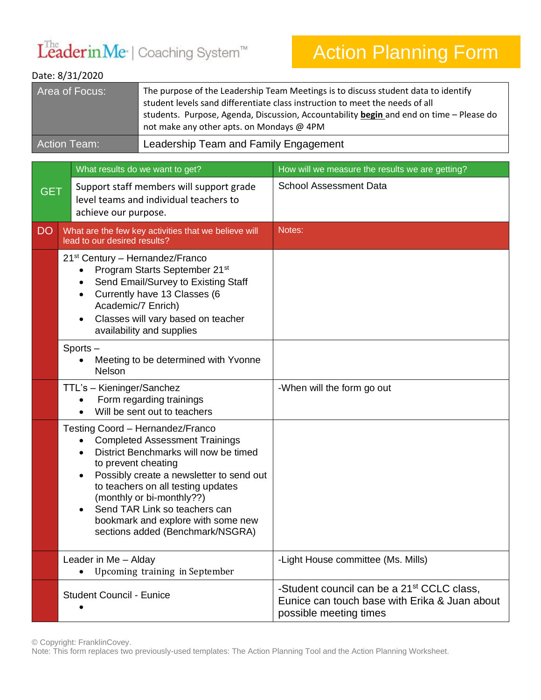## LeaderinMe<sup>·</sup> | Coaching System™

## Action Planning Form

| Date: 8/31/2020                 |                                                                        |                                                                                                                                                                                                                                                                                                                                              |                                                                                                                                   |  |  |  |  |
|---------------------------------|------------------------------------------------------------------------|----------------------------------------------------------------------------------------------------------------------------------------------------------------------------------------------------------------------------------------------------------------------------------------------------------------------------------------------|-----------------------------------------------------------------------------------------------------------------------------------|--|--|--|--|
|                                 | Area of Focus:                                                         | The purpose of the Leadership Team Meetings is to discuss student data to identify<br>student levels sand differentiate class instruction to meet the needs of all<br>students. Purpose, Agenda, Discussion, Accountability begin and end on time - Please do<br>not make any other apts. on Mondays @ 4PM                                   |                                                                                                                                   |  |  |  |  |
|                                 | <b>Action Team:</b>                                                    | Leadership Team and Family Engagement                                                                                                                                                                                                                                                                                                        |                                                                                                                                   |  |  |  |  |
| What results do we want to get? |                                                                        |                                                                                                                                                                                                                                                                                                                                              | How will we measure the results we are getting?                                                                                   |  |  |  |  |
| <b>GET</b>                      | achieve our purpose.                                                   | Support staff members will support grade<br>level teams and individual teachers to                                                                                                                                                                                                                                                           | <b>School Assessment Data</b>                                                                                                     |  |  |  |  |
| <b>DO</b>                       | lead to our desired results?                                           | What are the few key activities that we believe will                                                                                                                                                                                                                                                                                         | Notes:                                                                                                                            |  |  |  |  |
|                                 | 21 <sup>st</sup> Century - Hernandez/Franco<br>٠<br>Academic/7 Enrich) | Program Starts September 21 <sup>st</sup><br>Send Email/Survey to Existing Staff<br>Currently have 13 Classes (6<br>Classes will vary based on teacher<br>availability and supplies                                                                                                                                                          |                                                                                                                                   |  |  |  |  |
|                                 | Sports-<br>Nelson                                                      | Meeting to be determined with Yvonne                                                                                                                                                                                                                                                                                                         |                                                                                                                                   |  |  |  |  |
|                                 | TTL's - Kieninger/Sanchez                                              | Form regarding trainings<br>Will be sent out to teachers                                                                                                                                                                                                                                                                                     | -When will the form go out                                                                                                        |  |  |  |  |
|                                 | to prevent cheating<br>٠                                               | Testing Coord - Hernandez/Franco<br><b>Completed Assessment Trainings</b><br>District Benchmarks will now be timed<br>Possibly create a newsletter to send out<br>to teachers on all testing updates<br>(monthly or bi-monthly??)<br>Send TAR Link so teachers can<br>bookmark and explore with some new<br>sections added (Benchmark/NSGRA) |                                                                                                                                   |  |  |  |  |
|                                 | Leader in Me - Alday                                                   | Upcoming training in September                                                                                                                                                                                                                                                                                                               | -Light House committee (Ms. Mills)                                                                                                |  |  |  |  |
|                                 | <b>Student Council - Eunice</b>                                        |                                                                                                                                                                                                                                                                                                                                              | -Student council can be a 21 <sup>st</sup> CCLC class,<br>Eunice can touch base with Erika & Juan about<br>possible meeting times |  |  |  |  |

© Copyright: FranklinCovey.

Note: This form replaces two previously-used templates: The Action Planning Tool and the Action Planning Worksheet.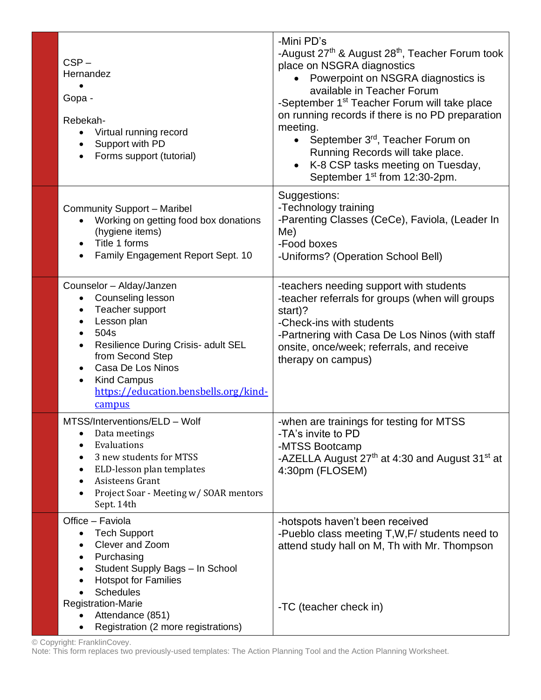| $CSP -$<br>Hernandez<br>Gopa -<br>Rebekah-<br>Virtual running record<br>Support with PD<br>$\bullet$<br>Forms support (tutorial)<br>$\bullet$                                                                                                                                                                     | -Mini PD's<br>-August 27 <sup>th</sup> & August 28 <sup>th</sup> , Teacher Forum took<br>place on NSGRA diagnostics<br>Powerpoint on NSGRA diagnostics is<br>available in Teacher Forum<br>-September 1 <sup>st</sup> Teacher Forum will take place<br>on running records if there is no PD preparation<br>meeting.<br>September 3 <sup>rd</sup> , Teacher Forum on<br>$\bullet$<br>Running Records will take place.<br>K-8 CSP tasks meeting on Tuesday,<br>$\bullet$<br>September 1 <sup>st</sup> from 12:30-2pm. |
|-------------------------------------------------------------------------------------------------------------------------------------------------------------------------------------------------------------------------------------------------------------------------------------------------------------------|---------------------------------------------------------------------------------------------------------------------------------------------------------------------------------------------------------------------------------------------------------------------------------------------------------------------------------------------------------------------------------------------------------------------------------------------------------------------------------------------------------------------|
| <b>Community Support - Maribel</b><br>Working on getting food box donations<br>(hygiene items)<br>Title 1 forms<br>$\bullet$<br>Family Engagement Report Sept. 10<br>$\bullet$                                                                                                                                    | Suggestions:<br>-Technology training<br>-Parenting Classes (CeCe), Faviola, (Leader In<br>Me)<br>-Food boxes<br>-Uniforms? (Operation School Bell)                                                                                                                                                                                                                                                                                                                                                                  |
| Counselor - Alday/Janzen<br>Counseling lesson<br>$\bullet$<br>Teacher support<br>$\bullet$<br>Lesson plan<br>$\bullet$<br>504s<br>$\bullet$<br>Resilience During Crisis- adult SEL<br>from Second Step<br>Casa De Los Ninos<br><b>Kind Campus</b><br>$\bullet$<br>https://education.bensbells.org/kind-<br>campus | -teachers needing support with students<br>-teacher referrals for groups (when will groups<br>start)?<br>-Check-ins with students<br>-Partnering with Casa De Los Ninos (with staff<br>onsite, once/week; referrals, and receive<br>therapy on campus)                                                                                                                                                                                                                                                              |
| MTSS/Interventions/ELD - Wolf<br>Data meetings<br>Evaluations<br>3 new students for MTSS<br>ELD-lesson plan templates<br>$\bullet$<br>Asisteens Grant<br>Project Soar - Meeting w/ SOAR mentors<br>Sept. 14th                                                                                                     | -when are trainings for testing for MTSS<br>-TA's invite to PD<br>-MTSS Bootcamp<br>-AZELLA August 27 <sup>th</sup> at 4:30 and August 31 <sup>st</sup> at<br>4:30pm (FLOSEM)                                                                                                                                                                                                                                                                                                                                       |
| Office - Faviola<br><b>Tech Support</b><br>Clever and Zoom<br>Purchasing<br>$\bullet$<br>Student Supply Bags - In School<br>$\bullet$<br><b>Hotspot for Families</b><br>$\bullet$<br><b>Schedules</b><br><b>Registration-Marie</b><br>Attendance (851)<br>Registration (2 more registrations)                     | -hotspots haven't been received<br>-Pueblo class meeting T, W, F / students need to<br>attend study hall on M, Th with Mr. Thompson<br>-TC (teacher check in)                                                                                                                                                                                                                                                                                                                                                       |

© Copyright: FranklinCovey.

Note: This form replaces two previously-used templates: The Action Planning Tool and the Action Planning Worksheet.